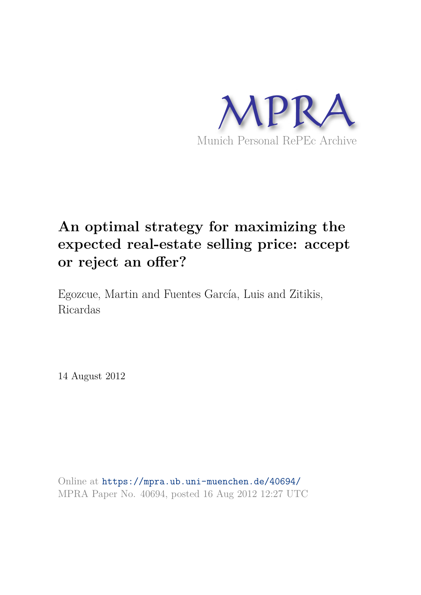

# **An optimal strategy for maximizing the expected real-estate selling price: accept or reject an offer?**

Egozcue, Martin and Fuentes García, Luis and Zitikis, Ricardas

14 August 2012

Online at https://mpra.ub.uni-muenchen.de/40694/ MPRA Paper No. 40694, posted 16 Aug 2012 12:27 UTC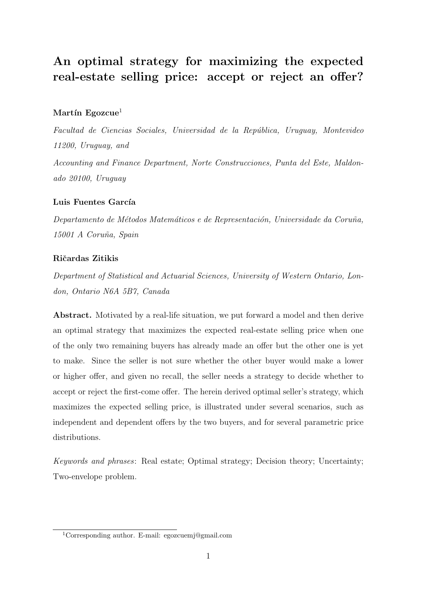## An optimal strategy for maximizing the expected real-estate selling price: accept or reject an offer?

#### Martín Egozcue<sup>1</sup>

*Facultad de Ciencias Sociales, Universidad de la Rep´ublica, Uruguay, Montevideo 11200, Uruguay, and*

*Accounting and Finance Department, Norte Construcciones, Punta del Este, Maldonado 20100, Uruguay*

#### Luis Fuentes García

*Departamento de M´etodos Matem´aticos e de Representaci´on, Universidade da Coru˜na, 15001 A Coru˜na, Spain*

#### Ričardas Zitikis

*Department of Statistical and Actuarial Sciences, University of Western Ontario, London, Ontario N6A 5B7, Canada*

Abstract. Motivated by a real-life situation, we put forward a model and then derive an optimal strategy that maximizes the expected real-estate selling price when one of the only two remaining buyers has already made an offer but the other one is yet to make. Since the seller is not sure whether the other buyer would make a lower or higher offer, and given no recall, the seller needs a strategy to decide whether to accept or reject the first-come offer. The herein derived optimal seller's strategy, which maximizes the expected selling price, is illustrated under several scenarios, such as independent and dependent offers by the two buyers, and for several parametric price distributions.

*Keywords and phrases*: Real estate; Optimal strategy; Decision theory; Uncertainty; Two-envelope problem.

<sup>1</sup>Corresponding author. E-mail: egozcuemj@gmail.com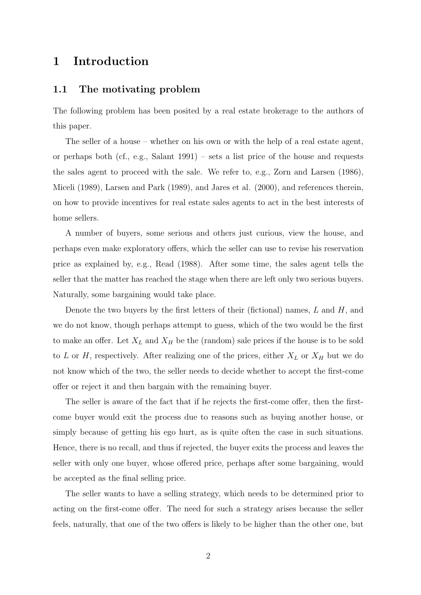## 1 Introduction

#### 1.1 The motivating problem

The following problem has been posited by a real estate brokerage to the authors of this paper.

The seller of a house – whether on his own or with the help of a real estate agent, or perhaps both (cf., e.g., Salant 1991) – sets a list price of the house and requests the sales agent to proceed with the sale. We refer to, e.g., Zorn and Larsen (1986), Miceli (1989), Larsen and Park (1989), and Jares et al. (2000), and references therein, on how to provide incentives for real estate sales agents to act in the best interests of home sellers.

A number of buyers, some serious and others just curious, view the house, and perhaps even make exploratory offers, which the seller can use to revise his reservation price as explained by, e.g., Read (1988). After some time, the sales agent tells the seller that the matter has reached the stage when there are left only two serious buyers. Naturally, some bargaining would take place.

Denote the two buyers by the first letters of their (fictional) names,  $L$  and  $H$ , and we do not know, though perhaps attempt to guess, which of the two would be the first to make an offer. Let  $X_L$  and  $X_H$  be the (random) sale prices if the house is to be sold to L or H, respectively. After realizing one of the prices, either  $X_L$  or  $X_H$  but we do not know which of the two, the seller needs to decide whether to accept the first-come offer or reject it and then bargain with the remaining buyer.

The seller is aware of the fact that if he rejects the first-come offer, then the firstcome buyer would exit the process due to reasons such as buying another house, or simply because of getting his ego hurt, as is quite often the case in such situations. Hence, there is no recall, and thus if rejected, the buyer exits the process and leaves the seller with only one buyer, whose offered price, perhaps after some bargaining, would be accepted as the final selling price.

The seller wants to have a selling strategy, which needs to be determined prior to acting on the first-come offer. The need for such a strategy arises because the seller feels, naturally, that one of the two offers is likely to be higher than the other one, but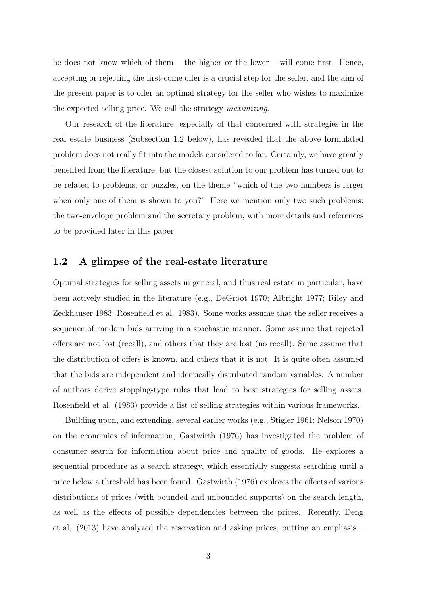he does not know which of them – the higher or the lower – will come first. Hence, accepting or rejecting the first-come offer is a crucial step for the seller, and the aim of the present paper is to offer an optimal strategy for the seller who wishes to maximize the expected selling price. We call the strategy *maximizing*.

Our research of the literature, especially of that concerned with strategies in the real estate business (Subsection 1.2 below), has revealed that the above formulated problem does not really fit into the models considered so far. Certainly, we have greatly benefited from the literature, but the closest solution to our problem has turned out to be related to problems, or puzzles, on the theme "which of the two numbers is larger when only one of them is shown to you?" Here we mention only two such problems: the two-envelope problem and the secretary problem, with more details and references to be provided later in this paper.

#### 1.2 A glimpse of the real-estate literature

Optimal strategies for selling assets in general, and thus real estate in particular, have been actively studied in the literature (e.g., DeGroot 1970; Albright 1977; Riley and Zeckhauser 1983; Rosenfield et al. 1983). Some works assume that the seller receives a sequence of random bids arriving in a stochastic manner. Some assume that rejected offers are not lost (recall), and others that they are lost (no recall). Some assume that the distribution of offers is known, and others that it is not. It is quite often assumed that the bids are independent and identically distributed random variables. A number of authors derive stopping-type rules that lead to best strategies for selling assets. Rosenfield et al. (1983) provide a list of selling strategies within various frameworks.

Building upon, and extending, several earlier works (e.g., Stigler 1961; Nelson 1970) on the economics of information, Gastwirth (1976) has investigated the problem of consumer search for information about price and quality of goods. He explores a sequential procedure as a search strategy, which essentially suggests searching until a price below a threshold has been found. Gastwirth (1976) explores the effects of various distributions of prices (with bounded and unbounded supports) on the search length, as well as the effects of possible dependencies between the prices. Recently, Deng et al. (2013) have analyzed the reservation and asking prices, putting an emphasis –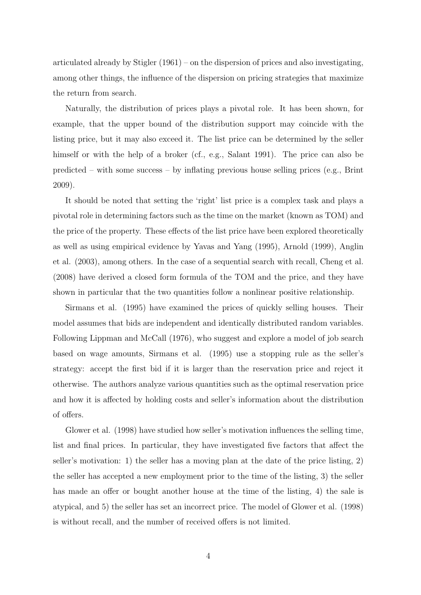articulated already by Stigler (1961) – on the dispersion of prices and also investigating, among other things, the influence of the dispersion on pricing strategies that maximize the return from search.

Naturally, the distribution of prices plays a pivotal role. It has been shown, for example, that the upper bound of the distribution support may coincide with the listing price, but it may also exceed it. The list price can be determined by the seller himself or with the help of a broker (cf., e.g., Salant 1991). The price can also be predicted – with some success – by inflating previous house selling prices (e.g., Brint 2009).

It should be noted that setting the 'right' list price is a complex task and plays a pivotal role in determining factors such as the time on the market (known as TOM) and the price of the property. These effects of the list price have been explored theoretically as well as using empirical evidence by Yavas and Yang (1995), Arnold (1999), Anglin et al. (2003), among others. In the case of a sequential search with recall, Cheng et al. (2008) have derived a closed form formula of the TOM and the price, and they have shown in particular that the two quantities follow a nonlinear positive relationship.

Sirmans et al. (1995) have examined the prices of quickly selling houses. Their model assumes that bids are independent and identically distributed random variables. Following Lippman and McCall (1976), who suggest and explore a model of job search based on wage amounts, Sirmans et al. (1995) use a stopping rule as the seller's strategy: accept the first bid if it is larger than the reservation price and reject it otherwise. The authors analyze various quantities such as the optimal reservation price and how it is affected by holding costs and seller's information about the distribution of offers.

Glower et al. (1998) have studied how seller's motivation influences the selling time, list and final prices. In particular, they have investigated five factors that affect the seller's motivation: 1) the seller has a moving plan at the date of the price listing, 2) the seller has accepted a new employment prior to the time of the listing, 3) the seller has made an offer or bought another house at the time of the listing, 4) the sale is atypical, and 5) the seller has set an incorrect price. The model of Glower et al. (1998) is without recall, and the number of received offers is not limited.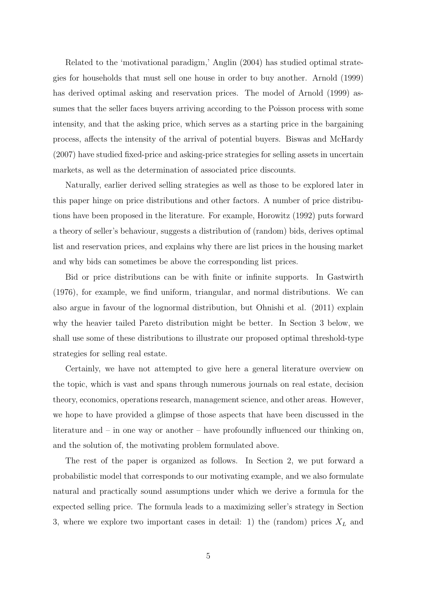Related to the 'motivational paradigm,' Anglin (2004) has studied optimal strategies for households that must sell one house in order to buy another. Arnold (1999) has derived optimal asking and reservation prices. The model of Arnold (1999) assumes that the seller faces buyers arriving according to the Poisson process with some intensity, and that the asking price, which serves as a starting price in the bargaining process, affects the intensity of the arrival of potential buyers. Biswas and McHardy (2007) have studied fixed-price and asking-price strategies for selling assets in uncertain markets, as well as the determination of associated price discounts.

Naturally, earlier derived selling strategies as well as those to be explored later in this paper hinge on price distributions and other factors. A number of price distributions have been proposed in the literature. For example, Horowitz (1992) puts forward a theory of seller's behaviour, suggests a distribution of (random) bids, derives optimal list and reservation prices, and explains why there are list prices in the housing market and why bids can sometimes be above the corresponding list prices.

Bid or price distributions can be with finite or infinite supports. In Gastwirth (1976), for example, we find uniform, triangular, and normal distributions. We can also argue in favour of the lognormal distribution, but Ohnishi et al. (2011) explain why the heavier tailed Pareto distribution might be better. In Section 3 below, we shall use some of these distributions to illustrate our proposed optimal threshold-type strategies for selling real estate.

Certainly, we have not attempted to give here a general literature overview on the topic, which is vast and spans through numerous journals on real estate, decision theory, economics, operations research, management science, and other areas. However, we hope to have provided a glimpse of those aspects that have been discussed in the literature and – in one way or another – have profoundly influenced our thinking on, and the solution of, the motivating problem formulated above.

The rest of the paper is organized as follows. In Section 2, we put forward a probabilistic model that corresponds to our motivating example, and we also formulate natural and practically sound assumptions under which we derive a formula for the expected selling price. The formula leads to a maximizing seller's strategy in Section 3, where we explore two important cases in detail: 1) the (random) prices  $X_L$  and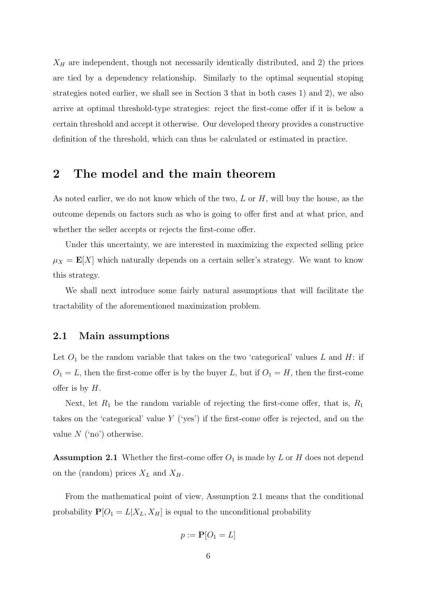$X_H$  are independent, though not necessarily identically distributed, and 2) the prices are tied by a dependency relationship. Similarly to the optimal sequential stoping strategies noted earlier, we shall see in Section 3 that in both cases 1) and 2), we also arrive at optimal threshold-type strategies: reject the first-come offer if it is below a certain threshold and accept it otherwise. Our developed theory provides a constructive definition of the threshold, which can thus be calculated or estimated in practice.

### 2 The model and the main theorem

As noted earlier, we do not know which of the two,  $L$  or  $H$ , will buy the house, as the outcome depends on factors such as who is going to offer first and at what price, and whether the seller accepts or rejects the first-come offer.

Under this uncertainty, we are interested in maximizing the expected selling price  $\mu_X = \mathbf{E}[X]$  which naturally depends on a certain seller's strategy. We want to know this strategy.

We shall next introduce some fairly natural assumptions that will facilitate the tractability of the aforementioned maximization problem.

#### 2.1 Main assumptions

Let  $O_1$  be the random variable that takes on the two 'categorical' values L and H: if  $O_1 = L$ , then the first-come offer is by the buyer L, but if  $O_1 = H$ , then the first-come offer is by  $H$ .

Next, let  $R_1$  be the random variable of rejecting the first-come offer, that is,  $R_1$ takes on the 'categorical' value Y ('yes') if the first-come offer is rejected, and on the value  $N$  ('no') otherwise.

**Assumption 2.1** Whether the first-come offer  $O_1$  is made by L or H does not depend on the (random) prices  $X_L$  and  $X_H$ .

From the mathematical point of view, Assumption 2.1 means that the conditional probability  $P[O_1 = L | X_L, X_H]$  is equal to the unconditional probability

$$
p := \mathbf{P}[O_1 = L]
$$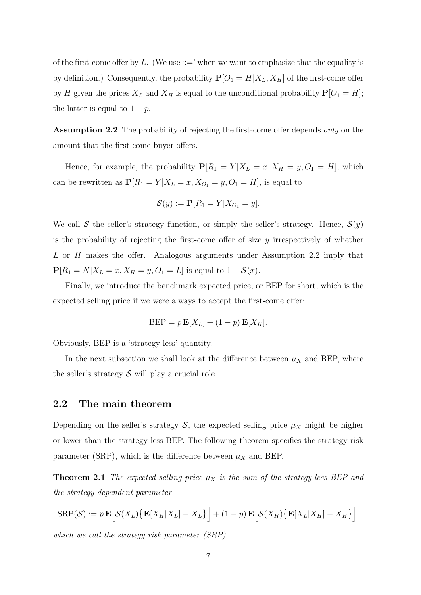of the first-come offer by L. (We use  $\dot{ }:=$ ' when we want to emphasize that the equality is by definition.) Consequently, the probability  $P[O_1 = H | X_L, X_H]$  of the first-come offer by H given the prices  $X_L$  and  $X_H$  is equal to the unconditional probability  $P[O_1 = H]$ ; the latter is equal to  $1 - p$ .

Assumption 2.2 The probability of rejecting the first-come offer depends *only* on the amount that the first-come buyer offers.

Hence, for example, the probability  $P[R_1 = Y | X_L = x, X_H = y, O_1 = H]$ , which can be rewritten as  $\mathbf{P}[R_1 = Y | X_L = x, X_{O_1} = y, O_1 = H]$ , is equal to

$$
\mathcal{S}(y) := \mathbf{P}[R_1 = Y | X_{O_1} = y].
$$

We call S the seller's strategy function, or simply the seller's strategy. Hence,  $S(y)$ is the probability of rejecting the first-come offer of size  $y$  irrespectively of whether L or H makes the offer. Analogous arguments under Assumption 2.2 imply that  $P[R_1 = N | X_L = x, X_H = y, O_1 = L]$  is equal to  $1 - S(x)$ .

Finally, we introduce the benchmark expected price, or BEP for short, which is the expected selling price if we were always to accept the first-come offer:

$$
BEP = p \mathbf{E}[X_L] + (1-p) \mathbf{E}[X_H].
$$

Obviously, BEP is a 'strategy-less' quantity.

In the next subsection we shall look at the difference between  $\mu_X$  and BEP, where the seller's strategy  $S$  will play a crucial role.

#### 2.2 The main theorem

Depending on the seller's strategy  $S$ , the expected selling price  $\mu_X$  might be higher or lower than the strategy-less BEP. The following theorem specifies the strategy risk parameter (SRP), which is the difference between  $\mu_X$  and BEP.

**Theorem 2.1** *The expected selling price*  $\mu_X$  *is the sum of the strategy-less BEP and the strategy-dependent parameter*

$$
SRP(S) := p \mathbf{E} \Big[ S(X_L) \big\{ \mathbf{E} [X_H | X_L] - X_L \big\} \Big] + (1 - p) \mathbf{E} \Big[ S(X_H) \big\{ \mathbf{E} [X_L | X_H] - X_H \big\} \Big],
$$

*which we call the strategy risk parameter (SRP).*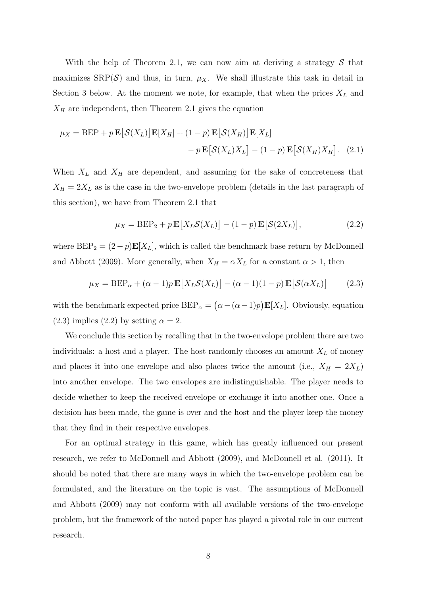With the help of Theorem 2.1, we can now aim at deriving a strategy  $S$  that maximizes  $\text{SRP}(\mathcal{S})$  and thus, in turn,  $\mu_X$ . We shall illustrate this task in detail in Section 3 below. At the moment we note, for example, that when the prices  $X_L$  and  $X_H$  are independent, then Theorem 2.1 gives the equation

$$
\mu_X = \text{BEP} + p \mathbf{E} [\mathcal{S}(X_L)] \mathbf{E}[X_H] + (1 - p) \mathbf{E} [\mathcal{S}(X_H)] \mathbf{E}[X_L] - p \mathbf{E} [\mathcal{S}(X_L) X_L] - (1 - p) \mathbf{E} [\mathcal{S}(X_H) X_H].
$$
 (2.1)

When  $X_L$  and  $X_H$  are dependent, and assuming for the sake of concreteness that  $X_H = 2X_L$  as is the case in the two-envelope problem (details in the last paragraph of this section), we have from Theorem 2.1 that

$$
\mu_X = \text{BEP}_2 + p \mathbf{E}[X_L \mathcal{S}(X_L)] - (1 - p) \mathbf{E}[\mathcal{S}(2X_L)],\tag{2.2}
$$

where  $BEP_2 = (2 - p) \mathbf{E}[X_L]$ , which is called the benchmark base return by McDonnell and Abbott (2009). More generally, when  $X_H = \alpha X_L$  for a constant  $\alpha > 1$ , then

$$
\mu_X = \text{BEP}_{\alpha} + (\alpha - 1)p \mathbf{E}[X_L \mathcal{S}(X_L)] - (\alpha - 1)(1 - p) \mathbf{E}[\mathcal{S}(\alpha X_L)] \tag{2.3}
$$

with the benchmark expected price  $BEP_{\alpha} = (\alpha - (\alpha - 1)p) \mathbf{E}[X_L]$ . Obviously, equation (2.3) implies (2.2) by setting  $\alpha = 2$ .

We conclude this section by recalling that in the two-envelope problem there are two individuals: a host and a player. The host randomly chooses an amount  $X_L$  of money and places it into one envelope and also places twice the amount (i.e.,  $X_H = 2X_L$ ) into another envelope. The two envelopes are indistinguishable. The player needs to decide whether to keep the received envelope or exchange it into another one. Once a decision has been made, the game is over and the host and the player keep the money that they find in their respective envelopes.

For an optimal strategy in this game, which has greatly influenced our present research, we refer to McDonnell and Abbott (2009), and McDonnell et al. (2011). It should be noted that there are many ways in which the two-envelope problem can be formulated, and the literature on the topic is vast. The assumptions of McDonnell and Abbott (2009) may not conform with all available versions of the two-envelope problem, but the framework of the noted paper has played a pivotal role in our current research.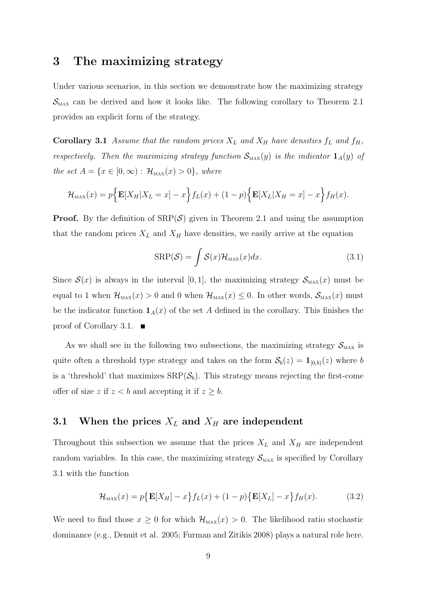## 3 The maximizing strategy

Under various scenarios, in this section we demonstrate how the maximizing strategy  $\mathcal{S}_{\text{max}}$  can be derived and how it looks like. The following corollary to Theorem 2.1 provides an explicit form of the strategy.

**Corollary 3.1** Assume that the random prices  $X_L$  and  $X_H$  have densities  $f_L$  and  $f_H$ , *respectively. Then the maximizing strategy function*  $\mathcal{S}_{\text{max}}(y)$  *is the indicator*  $\mathbf{1}_A(y)$  *of the set*  $A = \{x \in [0, \infty) : \mathcal{H}_{\text{MAX}}(x) > 0\}$ *, where* 

$$
\mathcal{H}_{\text{max}}(x) = p\Big\{\mathbf{E}[X_H|X_L=x] - x\Big\} f_L(x) + (1-p)\Big\{\mathbf{E}[X_L|X_H=x] - x\Big\} f_H(x).
$$

**Proof.** By the definition of  $\text{SRP}(\mathcal{S})$  given in Theorem 2.1 and using the assumption that the random prices  $X_L$  and  $X_H$  have densities, we easily arrive at the equation

$$
SRP(\mathcal{S}) = \int \mathcal{S}(x) \mathcal{H}_{\text{max}}(x) dx.
$$
 (3.1)

Since  $\mathcal{S}(x)$  is always in the interval [0, 1], the maximizing strategy  $\mathcal{S}_{\text{MAX}}(x)$  must be equal to 1 when  $\mathcal{H}_{\text{max}}(x) > 0$  and 0 when  $\mathcal{H}_{\text{max}}(x) \leq 0$ . In other words,  $\mathcal{S}_{\text{max}}(x)$  must be the indicator function  $\mathbf{1}_A(x)$  of the set A defined in the corollary. This finishes the proof of Corollary 3.1.  $\blacksquare$ 

As we shall see in the following two subsections, the maximizing strategy  $S_{\text{max}}$  is quite often a threshold type strategy and takes on the form  $S_b(z) = 1_{[0,b)}(z)$  where b is a 'threshold' that maximizes  $\text{SRP}(\mathcal{S}_b)$ . This strategy means rejecting the first-come offer of size z if  $z < b$  and accepting it if  $z \geq b$ .

#### 3.1 When the prices  $X_L$  and  $X_H$  are independent

Throughout this subsection we assume that the prices  $X_L$  and  $X_H$  are independent random variables. In this case, the maximizing strategy  $S_{\text{MAX}}$  is specified by Corollary 3.1 with the function

$$
\mathcal{H}_{\text{MAX}}(x) = p\{\mathbf{E}[X_H] - x\}f_L(x) + (1-p)\{\mathbf{E}[X_L] - x\}f_H(x). \tag{3.2}
$$

We need to find those  $x \geq 0$  for which  $\mathcal{H}_{\text{max}}(x) > 0$ . The likelihood ratio stochastic dominance (e.g., Denuit et al. 2005; Furman and Zitikis 2008) plays a natural role here.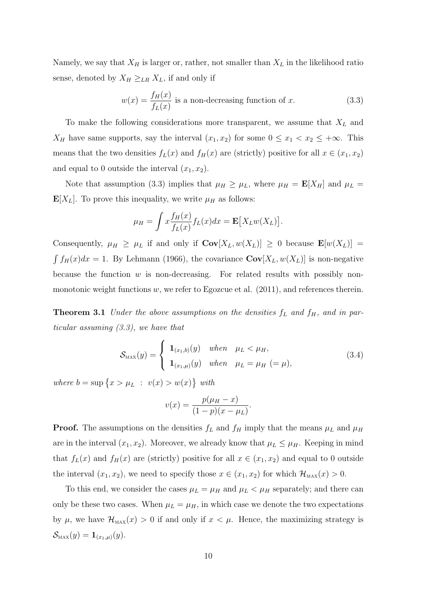Namely, we say that  $X_H$  is larger or, rather, not smaller than  $X_L$  in the likelihood ratio sense, denoted by  $X_H \geq_{LR} X_L$ , if and only if

$$
w(x) = \frac{f_H(x)}{f_L(x)}
$$
 is a non-decreasing function of x. (3.3)

To make the following considerations more transparent, we assume that  $X_L$  and  $X_H$  have same supports, say the interval  $(x_1, x_2)$  for some  $0 \le x_1 < x_2 \le +\infty$ . This means that the two densities  $f_L(x)$  and  $f_H(x)$  are (strictly) positive for all  $x \in (x_1, x_2)$ and equal to 0 outside the interval  $(x_1, x_2)$ .

Note that assumption (3.3) implies that  $\mu_H \geq \mu_L$ , where  $\mu_H = \mathbf{E}[X_H]$  and  $\mu_L =$  $\mathbf{E}[X_L]$ . To prove this inequality, we write  $\mu_H$  as follows:

$$
\mu_H = \int x \frac{f_H(x)}{f_L(x)} f_L(x) dx = \mathbf{E}[X_L w(X_L)].
$$

Consequently,  $\mu_H \geq \mu_L$  if and only if  $\mathbf{Cov}[X_L, w(X_L)] \geq 0$  because  $\mathbf{E}[w(X_L)] =$  $\int f_H(x)dx = 1$ . By Lehmann (1966), the covariance  $\mathbf{Cov}[X_L, w(X_L)]$  is non-negative because the function  $w$  is non-decreasing. For related results with possibly nonmonotonic weight functions  $w$ , we refer to Egozcue et al. (2011), and references therein.

**Theorem 3.1** *Under the above assumptions on the densities*  $f<sub>L</sub>$  *and*  $f<sub>H</sub>$ *, and in particular assuming (3.3), we have that*

$$
S_{\text{max}}(y) = \begin{cases} \mathbf{1}_{(x_1,b)}(y) & \text{when } \mu_L < \mu_H, \\ \mathbf{1}_{(x_1,\mu)}(y) & \text{when } \mu_L = \mu_H (= \mu), \end{cases}
$$
 (3.4)

where  $b = \sup \{x > \mu_L : v(x) > w(x)\}$  with

$$
v(x) = \frac{p(\mu - x)}{(1 - p)(x - \mu_L)}.
$$

**Proof.** The assumptions on the densities  $f<sub>L</sub>$  and  $f<sub>H</sub>$  imply that the means  $\mu<sub>L</sub>$  and  $\mu<sub>H</sub>$ are in the interval  $(x_1, x_2)$ . Moreover, we already know that  $\mu_L \leq \mu_H$ . Keeping in mind that  $f_L(x)$  and  $f_H(x)$  are (strictly) positive for all  $x \in (x_1, x_2)$  and equal to 0 outside the interval  $(x_1, x_2)$ , we need to specify those  $x \in (x_1, x_2)$  for which  $\mathcal{H}_{\text{MAX}}(x) > 0$ .

To this end, we consider the cases  $\mu_L = \mu_H$  and  $\mu_L < \mu_H$  separately; and there can only be these two cases. When  $\mu_L = \mu_H$ , in which case we denote the two expectations by  $\mu$ , we have  $\mathcal{H}_{\text{MAX}}(x) > 0$  if and only if  $x < \mu$ . Hence, the maximizing strategy is  $\mathcal{S}_{\text{max}}(y) = \mathbf{1}_{(x_1,\mu)}(y).$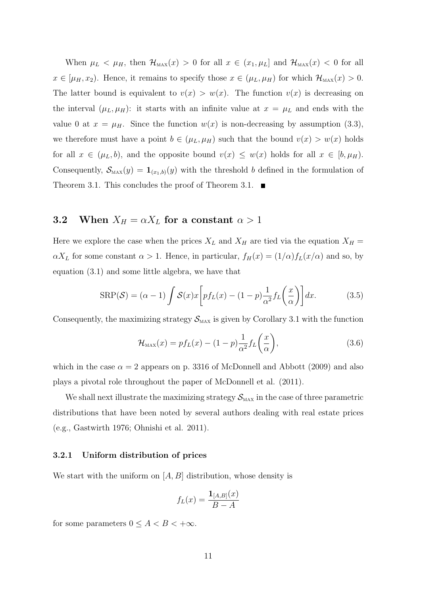When  $\mu_L < \mu_H$ , then  $\mathcal{H}_{\text{max}}(x) > 0$  for all  $x \in (x_1, \mu_L]$  and  $\mathcal{H}_{\text{max}}(x) < 0$  for all  $x \in [\mu_H, x_2]$ . Hence, it remains to specify those  $x \in (\mu_L, \mu_H)$  for which  $\mathcal{H}_{\text{max}}(x) > 0$ . The latter bound is equivalent to  $v(x) > w(x)$ . The function  $v(x)$  is decreasing on the interval  $(\mu_L, \mu_H)$ : it starts with an infinite value at  $x = \mu_L$  and ends with the value 0 at  $x = \mu_H$ . Since the function  $w(x)$  is non-decreasing by assumption (3.3), we therefore must have a point  $b \in (\mu_L, \mu_H)$  such that the bound  $v(x) > w(x)$  holds for all  $x \in (\mu_L, b)$ , and the opposite bound  $v(x) \leq w(x)$  holds for all  $x \in [b, \mu_H)$ . Consequently,  $\mathcal{S}_{\text{MAX}}(y) = \mathbf{1}_{(x_1,b)}(y)$  with the threshold b defined in the formulation of Theorem 3.1. This concludes the proof of Theorem 3.1.  $\blacksquare$ 

#### **3.2** When  $X_H = \alpha X_L$  for a constant  $\alpha > 1$

Here we explore the case when the prices  $X_L$  and  $X_H$  are tied via the equation  $X_H$  =  $\alpha X_L$  for some constant  $\alpha > 1$ . Hence, in particular,  $f_H(x) = (1/\alpha) f_L(x/\alpha)$  and so, by equation (3.1) and some little algebra, we have that

$$
SRP(\mathcal{S}) = (\alpha - 1) \int \mathcal{S}(x) x \left[ pf_L(x) - (1 - p) \frac{1}{\alpha^2} f_L\left(\frac{x}{\alpha}\right) \right] dx.
$$
 (3.5)

Consequently, the maximizing strategy  $S_{\text{MAX}}$  is given by Corollary 3.1 with the function

$$
\mathcal{H}_{\text{max}}(x) = p f_L(x) - (1 - p) \frac{1}{\alpha^2} f_L\left(\frac{x}{\alpha}\right),\tag{3.6}
$$

which in the case  $\alpha = 2$  appears on p. 3316 of McDonnell and Abbott (2009) and also plays a pivotal role throughout the paper of McDonnell et al. (2011).

We shall next illustrate the maximizing strategy  $\mathcal{S}_{\text{MAX}}$  in the case of three parametric distributions that have been noted by several authors dealing with real estate prices (e.g., Gastwirth 1976; Ohnishi et al. 2011).

#### 3.2.1 Uniform distribution of prices

We start with the uniform on  $[A, B]$  distribution, whose density is

$$
f_L(x) = \frac{\mathbf{1}_{[A,B]}(x)}{B-A}
$$

for some parameters  $0 \leq A < B < +\infty$ .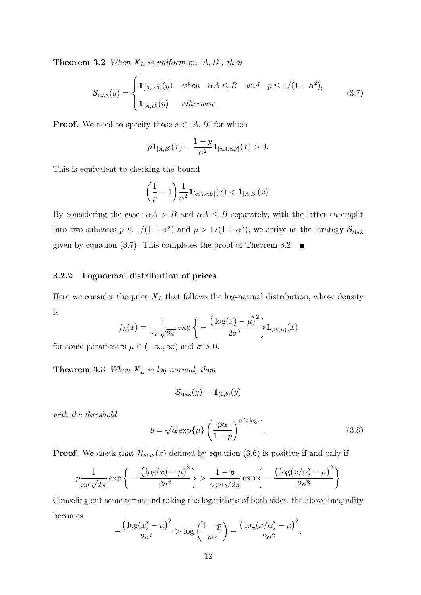**Theorem 3.2** *When*  $X_L$  *is uniform on*  $[A, B]$ *, then* 

$$
\mathcal{S}_{\text{MAX}}(y) = \begin{cases} \mathbf{1}_{[A,\alpha A)}(y) & \text{when } \alpha A \leq B \quad \text{and} \quad p \leq 1/(1+\alpha^2), \\ \mathbf{1}_{[A,B]}(y) & \text{otherwise.} \end{cases}
$$
(3.7)

**Proof.** We need to specify those  $x \in [A, B]$  for which

$$
p\mathbf{1}_{[A,B]}(x) - \frac{1-p}{\alpha^2} \mathbf{1}_{[\alpha A, \alpha B]}(x) > 0.
$$

This is equivalent to checking the bound

$$
\left(\frac{1}{p} - 1\right) \frac{1}{\alpha^2} \mathbf{1}_{[\alpha A, \alpha B]}(x) < \mathbf{1}_{[A, B]}(x).
$$

By considering the cases  $\alpha A > B$  and  $\alpha A \leq B$  separately, with the latter case split into two subcases  $p \leq 1/(1+\alpha^2)$  and  $p > 1/(1+\alpha^2)$ , we arrive at the strategy  $\mathcal{S}_{\text{MAX}}$ given by equation (3.7). This completes the proof of Theorem 3.2.  $\blacksquare$ 

#### 3.2.2 Lognormal distribution of prices

Here we consider the price  $X_L$  that follows the log-normal distribution, whose density is  $\overline{a}$  $\sqrt{2}$ 

$$
f_L(x) = \frac{1}{x\sigma\sqrt{2\pi}} \exp\bigg\{-\frac{\big(\log(x) - \mu\big)^2}{2\sigma^2}\bigg\} \mathbf{1}_{(0,\infty)}(x)
$$

for some parameters  $\mu \in (-\infty, \infty)$  and  $\sigma > 0$ .

Theorem 3.3 *When* X<sup>L</sup> *is log-normal, then*

$$
\mathcal{S}_\text{max}(y) = \mathbf{1}_{(0,b)}(y)
$$

*with the threshold*

$$
b = \sqrt{\alpha} \exp\{\mu\} \left(\frac{p\alpha}{1-p}\right)^{\sigma^2/\log \alpha}.
$$
 (3.8)

**Proof.** We check that  $\mathcal{H}_{\text{MAX}}(x)$  defined by equation (3.6) is positive if and only if

$$
p \frac{1}{x\sigma\sqrt{2\pi}} \exp\left\{-\frac{\left(\log(x) - \mu\right)^2}{2\sigma^2}\right\} > \frac{1-p}{\alpha x\sigma\sqrt{2\pi}} \exp\left\{-\frac{\left(\log(x/\alpha) - \mu\right)^2}{2\sigma^2}\right\}
$$

Canceling out some terms and taking the logarithms of both sides, the above inequality becomes

$$
-\frac{\left(\log(x)-\mu\right)^2}{2\sigma^2} > \log\left(\frac{1-p}{p\alpha}\right) - \frac{\left(\log(x/\alpha)-\mu\right)^2}{2\sigma^2},
$$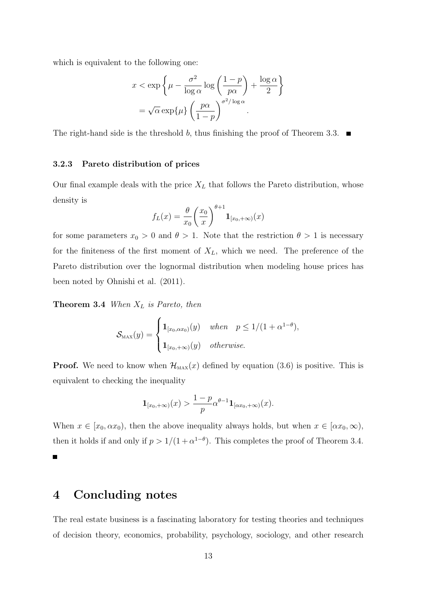which is equivalent to the following one:

$$
x < \exp\left\{\mu - \frac{\sigma^2}{\log \alpha} \log\left(\frac{1-p}{p\alpha}\right) + \frac{\log \alpha}{2}\right\}
$$

$$
= \sqrt{\alpha} \exp\{\mu\} \left(\frac{p\alpha}{1-p}\right)^{\sigma^2/\log \alpha}.
$$

The right-hand side is the threshold b, thus finishing the proof of Theorem 3.3.  $\blacksquare$ 

#### 3.2.3 Pareto distribution of prices

Our final example deals with the price  $X_L$  that follows the Pareto distribution, whose density is

$$
f_L(x) = \frac{\theta}{x_0} \left(\frac{x_0}{x}\right)^{\theta+1} \mathbf{1}_{[x_0, +\infty)}(x)
$$

for some parameters  $x_0 > 0$  and  $\theta > 1$ . Note that the restriction  $\theta > 1$  is necessary for the finiteness of the first moment of  $X_L$ , which we need. The preference of the Pareto distribution over the lognormal distribution when modeling house prices has been noted by Ohnishi et al. (2011).

Theorem 3.4 *When* X<sup>L</sup> *is Pareto, then*

$$
\mathcal{S}_{\text{max}}(y) = \begin{cases} \mathbf{1}_{[x_0, \alpha x_0)}(y) & when \quad p \le 1/(1 + \alpha^{1-\theta}), \\ \mathbf{1}_{[x_0, +\infty)}(y) & otherwise. \end{cases}
$$

**Proof.** We need to know when  $\mathcal{H}_{\text{MAX}}(x)$  defined by equation (3.6) is positive. This is equivalent to checking the inequality

$$
\mathbf{1}_{[x_0,+\infty)}(x) > \frac{1-p}{p} \alpha^{\theta-1} \mathbf{1}_{[\alpha x_0,+\infty)}(x).
$$

When  $x \in [x_0, \alpha x_0)$ , then the above inequality always holds, but when  $x \in [\alpha x_0, \infty)$ , then it holds if and only if  $p > 1/(1 + \alpha^{1-\theta})$ . This completes the proof of Theorem 3.4.

Г

## 4 Concluding notes

The real estate business is a fascinating laboratory for testing theories and techniques of decision theory, economics, probability, psychology, sociology, and other research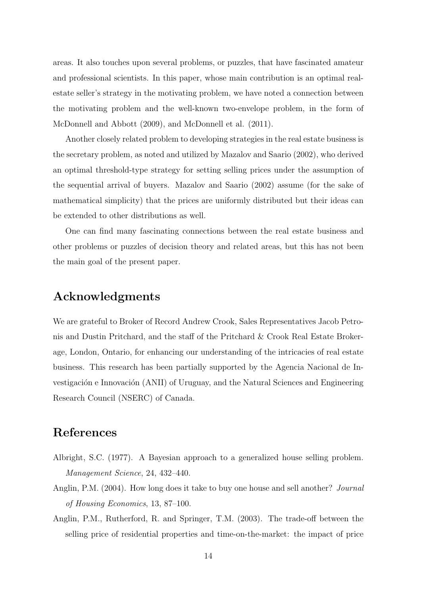areas. It also touches upon several problems, or puzzles, that have fascinated amateur and professional scientists. In this paper, whose main contribution is an optimal realestate seller's strategy in the motivating problem, we have noted a connection between the motivating problem and the well-known two-envelope problem, in the form of McDonnell and Abbott (2009), and McDonnell et al. (2011).

Another closely related problem to developing strategies in the real estate business is the secretary problem, as noted and utilized by Mazalov and Saario (2002), who derived an optimal threshold-type strategy for setting selling prices under the assumption of the sequential arrival of buyers. Mazalov and Saario (2002) assume (for the sake of mathematical simplicity) that the prices are uniformly distributed but their ideas can be extended to other distributions as well.

One can find many fascinating connections between the real estate business and other problems or puzzles of decision theory and related areas, but this has not been the main goal of the present paper.

## Acknowledgments

We are grateful to Broker of Record Andrew Crook, Sales Representatives Jacob Petronis and Dustin Pritchard, and the staff of the Pritchard & Crook Real Estate Brokerage, London, Ontario, for enhancing our understanding of the intricacies of real estate business. This research has been partially supported by the Agencia Nacional de Investigación e Innovación (ANII) of Uruguay, and the Natural Sciences and Engineering Research Council (NSERC) of Canada.

## References

- Albright, S.C. (1977). A Bayesian approach to a generalized house selling problem. *Management Science*, 24, 432–440.
- Anglin, P.M. (2004). How long does it take to buy one house and sell another? *Journal of Housing Economics*, 13, 87–100.
- Anglin, P.M., Rutherford, R. and Springer, T.M. (2003). The trade-off between the selling price of residential properties and time-on-the-market: the impact of price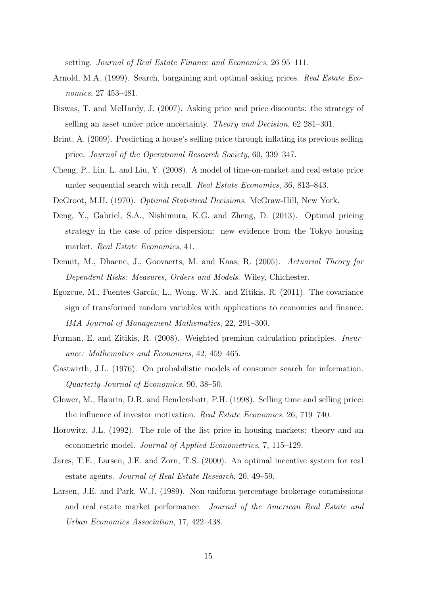setting. *Journal of Real Estate Finance and Economics*, 26 95–111.

- Arnold, M.A. (1999). Search, bargaining and optimal asking prices. *Real Estate Economics*, 27 453–481.
- Biswas, T. and McHardy, J. (2007). Asking price and price discounts: the strategy of selling an asset under price uncertainty. *Theory and Decision*, 62 281–301.
- Brint, A. (2009). Predicting a house's selling price through inflating its previous selling price. *Journal of the Operational Research Society*, 60, 339–347.
- Cheng, P., Lin, L. and Liu, Y. (2008). A model of time-on-market and real estate price under sequential search with recall. *Real Estate Economics*, 36, 813–843.
- DeGroot, M.H. (1970). *Optimal Statistical Decisions*. McGraw-Hill, New York.
- Deng, Y., Gabriel, S.A., Nishimura, K.G. and Zheng, D. (2013). Optimal pricing strategy in the case of price dispersion: new evidence from the Tokyo housing market. *Real Estate Economics*, 41.
- Denuit, M., Dhaene, J., Goovaerts, M. and Kaas, R. (2005). *Actuarial Theory for Dependent Risks: Measures, Orders and Models*. Wiley, Chichester.
- Egozcue, M., Fuentes García, L., Wong, W.K. and Zitikis, R. (2011). The covariance sign of transformed random variables with applications to economics and finance. *IMA Journal of Management Mathematics*, 22, 291–300.
- Furman, E. and Zitikis, R. (2008). Weighted premium calculation principles. *Insurance: Mathematics and Economics*, 42, 459–465.
- Gastwirth, J.L. (1976). On probabilistic models of consumer search for information. *Quarterly Journal of Economics*, 90, 38–50.
- Glower, M., Haurin, D.R. and Hendershott, P.H. (1998). Selling time and selling price: the influence of investor motivation. *Real Estate Economics*, 26, 719–740.
- Horowitz, J.L. (1992). The role of the list price in housing markets: theory and an econometric model. *Journal of Applied Econometrics*, 7, 115–129.
- Jares, T.E., Larsen, J.E. and Zorn, T.S. (2000). An optimal incentive system for real estate agents. *Journal of Real Estate Research*, 20, 49–59.
- Larsen, J.E. and Park, W.J. (1989). Non-uniform percentage brokerage commissions and real estate market performance. *Journal of the American Real Estate and Urban Economics Association*, 17, 422–438.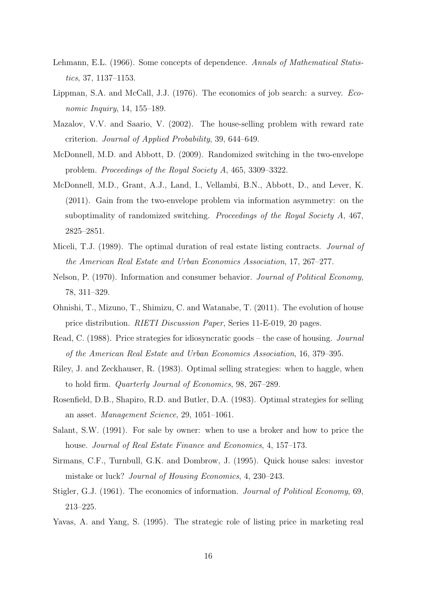- Lehmann, E.L. (1966). Some concepts of dependence. *Annals of Mathematical Statistics*, 37, 1137–1153.
- Lippman, S.A. and McCall, J.J. (1976). The economics of job search: a survey. *Economic Inquiry*, 14, 155–189.
- Mazalov, V.V. and Saario, V. (2002). The house-selling problem with reward rate criterion. *Journal of Applied Probability*, 39, 644–649.
- McDonnell, M.D. and Abbott, D. (2009). Randomized switching in the two-envelope problem. *Proceedings of the Royal Society A*, 465, 3309–3322.
- McDonnell, M.D., Grant, A.J., Land, I., Vellambi, B.N., Abbott, D., and Lever, K. (2011). Gain from the two-envelope problem via information asymmetry: on the suboptimality of randomized switching. *Proceedings of the Royal Society A*, 467, 2825–2851.
- Miceli, T.J. (1989). The optimal duration of real estate listing contracts. *Journal of the American Real Estate and Urban Economics Association*, 17, 267–277.
- Nelson, P. (1970). Information and consumer behavior. *Journal of Political Economy*, 78, 311–329.
- Ohnishi, T., Mizuno, T., Shimizu, C. and Watanabe, T. (2011). The evolution of house price distribution. *RIETI Discussion Paper*, Series 11-E-019, 20 pages.
- Read, C. (1988). Price strategies for idiosyncratic goods the case of housing. *Journal of the American Real Estate and Urban Economics Association*, 16, 379–395.
- Riley, J. and Zeckhauser, R. (1983). Optimal selling strategies: when to haggle, when to hold firm. *Quarterly Journal of Economics*, 98, 267–289.
- Rosenfield, D.B., Shapiro, R.D. and Butler, D.A. (1983). Optimal strategies for selling an asset. *Management Science*, 29, 1051–1061.
- Salant, S.W. (1991). For sale by owner: when to use a broker and how to price the house. *Journal of Real Estate Finance and Economics*, 4, 157–173.
- Sirmans, C.F., Turnbull, G.K. and Dombrow, J. (1995). Quick house sales: investor mistake or luck? *Journal of Housing Economics*, 4, 230–243.
- Stigler, G.J. (1961). The economics of information. *Journal of Political Economy*, 69, 213–225.
- Yavas, A. and Yang, S. (1995). The strategic role of listing price in marketing real